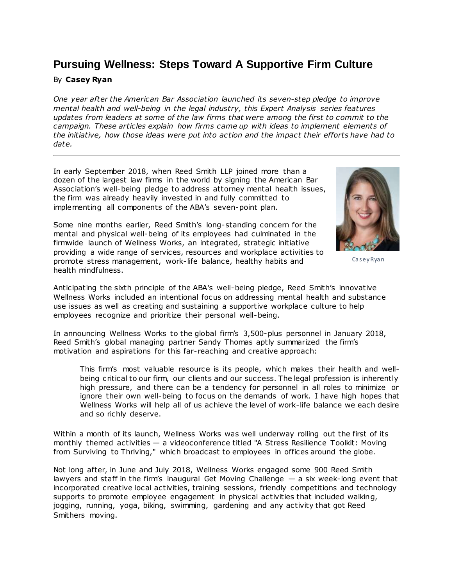# **Pursuing Wellness: Steps Toward A Supportive Firm Culture**

### By **Casey Ryan**

*One year after the [American Bar Association](https://www.law360.com/companies/american-bar-association) launched its [seven-step pledge](https://www.law360.com/articles/1081257) to improve mental health and well-being in the legal industry, this [Expert Analysis series](https://www.law360.com/search/articles?q=&with_words=&with_any_word=&without_words=&with_phrases=Pursuing+Wellness&without_phrases=&date_start=&date_end=&qx7%5B_tag%5D%5B%5D=Guest+Column&submit_news=Search) features updates from leaders at some of the law firms that were among the first to commit to the campaign. These articles explain how firms came up with ideas to implement elements of the initiative, how those ideas were put into action and the impact their efforts have had to date.*

In early September 2018, when [Reed Smith LLP](https://www.law360.com/firms/reed-smith) joined more than a dozen of the largest law firms in the world by signing the American Bar Association's well-being pledge to address attorney mental health issues, the firm was already heavily invested in and fully committed to implementing all components of the ABA's seven-point plan.

Some nine months earlier, Reed Smith's long-standing concern for the mental and physical well-being of its employees had culminated in the firmwide launch of Wellness Works, an integrated, strategic initiative providing a wide range of services, resources and workplace activities to promote stress management, work-life balance, healthy habits and health mindfulness.



Casey Ryan

Anticipating the sixth principle of the ABA's well-being pledge, Reed Smith's innovative Wellness Works included an intentional focus on addressing mental health and substance use issues as well as creating and sustaining a supportive workplace culture to help employees recognize and prioritize their personal well-being.

In announcing Wellness Works to the global firm's 3,500-plus personnel in January 2018, Reed Smith's global managing partner Sandy Thomas aptly summarized the firm's motivation and aspirations for this far-reaching and creative approach:

This firm's most valuable resource is its people, which makes their health and wellbeing critical to our firm, our clients and our success. The legal profession is inherently high pressure, and there can be a tendency for personnel in all roles to minimize or ignore their own well-being to focus on the demands of work. I have high hopes that Wellness Works will help all of us achieve the level of work-life balance we each desire and so richly deserve.

Within a month of its launch, Wellness Works was well underway rolling out the first of its monthly themed activities — a videoconference titled "A Stress Resilience Toolkit: Moving from Surviving to Thriving," which broadcast to employees in offices around the globe.

Not long after, in June and July 2018, Wellness Works engaged some 900 Reed Smith lawyers and staff in the firm's inaugural Get Moving Challenge — a six week-long event that incorporated creative local activities, training sessions, friendly competitions and technology supports to promote employee engagement in physical activities that included walking, jogging, running, yoga, biking, swimming, gardening and any activity that got Reed Smithers moving.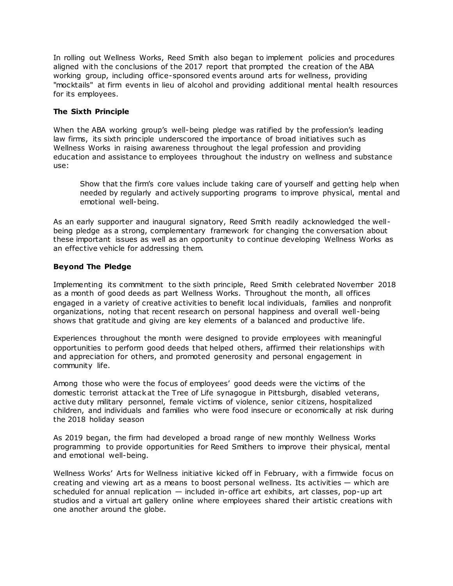In rolling out Wellness Works, Reed Smith also began to implement policies and procedures aligned with the conclusions of the 2017 report that prompted the creation of the ABA working group, including office-sponsored events around arts for wellness, providing "mocktails" at firm events in lieu of alcohol and providing additional mental health resources for its employees.

#### **The Sixth Principle**

When the ABA working group's well-being pledge was ratified by the profession's leading law firms, its sixth principle underscored the importance of broad initiatives such as Wellness Works in raising awareness throughout the legal profession and providing education and assistance to employees throughout the industry on wellness and substance use:

Show that the firm's core values include taking care of yourself and getting help when needed by regularly and actively supporting programs to improve physical, mental and emotional well-being.

As an early supporter and inaugural signatory, Reed Smith readily acknowledged the wellbeing pledge as a strong, complementary framework for changing the conversation about these important issues as well as an opportunity to continue developing Wellness Works as an effective vehicle for addressing them.

## **Beyond The Pledge**

Implementing its commitment to the sixth principle, Reed Smith celebrated November 2018 as a month of good deeds as part Wellness Works. Throughout the month, all offices engaged in a variety of creative activities to benefit local individuals, families and nonprofit organizations, noting that recent research on personal happiness and overall well-being shows that gratitude and giving are key elements of a balanced and productive life.

Experiences throughout the month were designed to provide employees with meaningful opportunities to perform good deeds that helped others, affirmed their relationships with and appreciation for others, and promoted generosity and personal engagement in community life.

Among those who were the focus of employees' good deeds were the victims of the domestic terrorist attack at the Tree of Life synagogue in Pittsburgh, disabled veterans, active duty military personnel, female victims of violence, senior citizens, hospitalized children, and individuals and families who were food insecure or economically at risk during the 2018 holiday season

As 2019 began, the firm had developed a broad range of new monthly Wellness Works programming to provide opportunities for Reed Smithers to improve their physical, mental and emotional well-being.

Wellness Works' Arts for Wellness initiative kicked off in February, with a firmwide focus on creating and viewing art as a means to boost personal wellness. Its activities — which are scheduled for annual replication — included in-office art exhibits, art classes, pop-up art studios and a virtual art gallery online where employees shared their artistic creations with one another around the globe.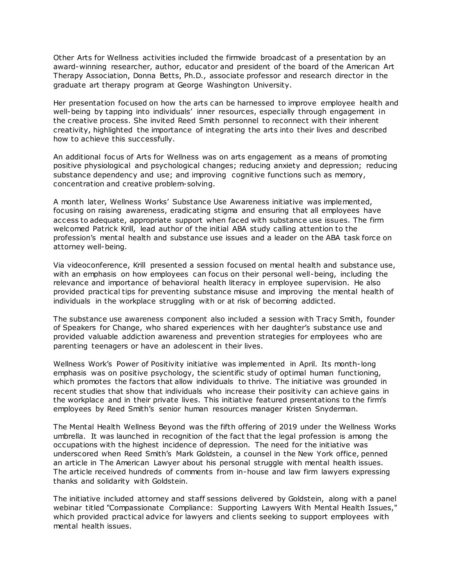Other Arts for Wellness activities included the firmwide broadcast of a presentation by an award-winning researcher, author, educator and president of the board of the American Art Therapy Association, Donna Betts, Ph.D., associate professor and research director in the graduate art therapy program at George Washington University.

Her presentation focused on how the arts can be harnessed to improve employee health and well-being by tapping into individuals' inner resources, especially through engagement in the creative process. She invited Reed Smith personnel to reconnect with their inherent creativity, highlighted the importance of integrating the arts into their lives and described how to achieve this successfully.

An additional focus of Arts for Wellness was on arts engagement as a means of promoting positive physiological and psychological changes; reducing anxiety and depression; reducing substance dependency and use; and improving cognitive functions such as memory, concentration and creative problem-solving.

A month later, Wellness Works' Substance Use Awareness initiative was implemented, focusing on raising awareness, eradicating stigma and ensuring that all employees have access to adequate, appropriate support when faced with substance use issues. The firm welcomed Patrick Krill, lead author of the initial ABA study calling attention to the profession's mental health and substance use issues and a leader on the ABA task force on attorney well-being.

Via videoconference, Krill presented a session focused on mental health and substance use, with an emphasis on how employees can focus on their personal well-being, including the relevance and importance of behavioral health literacy in employee supervision. He also provided practical tips for preventing substance misuse and improving the mental health of individuals in the workplace struggling with or at risk of becoming addicted.

The substance use awareness component also included a session with Tracy Smith, founder of Speakers for Change, who shared experiences with her daughter's substance use and provided valuable addiction awareness and prevention strategies for employees who are parenting teenagers or have an adolescent in their lives.

Wellness Work's Power of Positivity initiative was implemented in April. Its month-long emphasis was on positive psychology, the scientific study of optimal human functioning, which promotes the factors that allow individuals to thrive. The initiative was grounded in recent studies that show that individuals who increase their positivity can achieve gains in the workplace and in their private lives. This initiative featured presentations to the firm's employees by Reed Smith's senior human resources manager Kristen Snyderman.

The Mental Health Wellness Beyond was the fifth offering of 2019 under the Wellness Works umbrella. It was launched in recognition of the fact that the legal profession is among the occupations with the highest incidence of depression. The need for the initiative was underscored when Reed Smith's Mark Goldstein, a counsel in the New York office, penned an article in The American Lawyer about his personal struggle with mental health issues. The article received hundreds of comments from in-house and law firm lawyers expressing thanks and solidarity with Goldstein.

The initiative included attorney and staff sessions delivered by Goldstein, along with a panel webinar titled "Compassionate Compliance: Supporting Lawyers With Mental Health Issues," which provided practical advice for lawyers and clients seeking to support employees with mental health issues.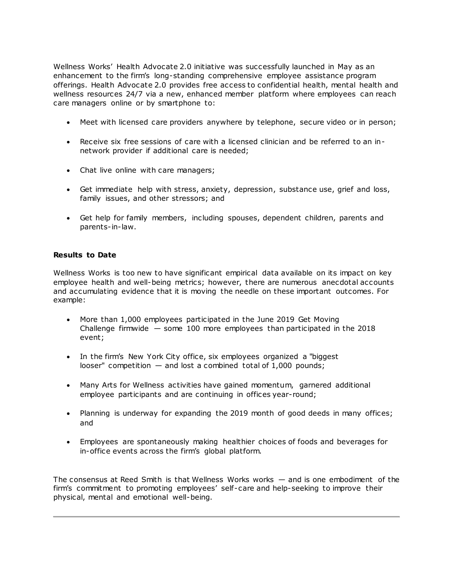Wellness Works' Health Advocate 2.0 initiative was successfully launched in May as an enhancement to the firm's long-standing comprehensive employee assistance program offerings. Health Advocate 2.0 provides free access to confidential health, mental health and wellness resources 24/7 via a new, enhanced member platform where employees can reach care managers online or by smartphone to:

- Meet with licensed care providers anywhere by telephone, secure video or in person;
- Receive six free sessions of care with a licensed clinician and be referred to an innetwork provider if additional care is needed;
- Chat live online with care managers;
- Get immediate help with stress, anxiety, depression, substance use, grief and loss, family issues, and other stressors; and
- Get help for family members, including spouses, dependent children, parents and parents-in-law.

#### **Results to Date**

Wellness Works is too new to have significant empirical data available on its impact on key employee health and well-being metrics; however, there are numerous anecdotal accounts and accumulating evidence that it is moving the needle on these important outcomes. For example:

- More than 1,000 employees participated in the June 2019 Get Moving Challenge firmwide  $-$  some 100 more employees than participated in the 2018 event;
- In the firm's New York City office, six employees organized a "biggest looser" competition  $-$  and lost a combined total of 1,000 pounds;
- Many Arts for Wellness activities have gained momentum, garnered additional employee participants and are continuing in offices year-round;
- Planning is underway for expanding the 2019 month of good deeds in many offices; and
- Employees are spontaneously making healthier choices of foods and beverages for in-office events across the firm's global platform.

The consensus at Reed Smith is that Wellness Works works — and is one embodiment of the firm's commitment to promoting employees' self-care and help-seeking to improve their physical, mental and emotional well-being.